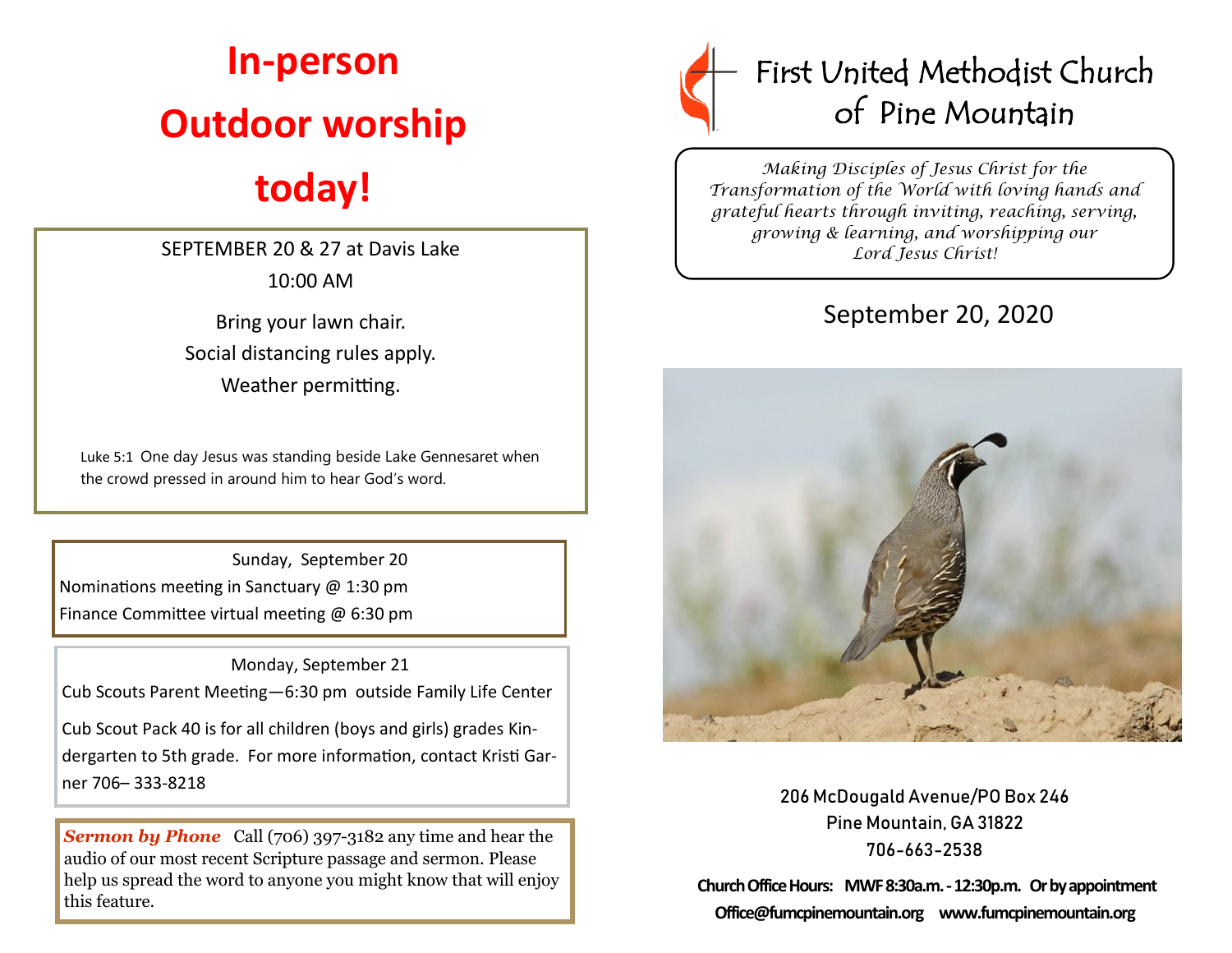## **In-person Outdoor worship**

## **today!**

SEPTEMBER 20 & 27 at Davis Lake 10:00 AM

Bring your lawn chair. Social distancing rules apply. Weather permitting.

Luke 5:1 One day Jesus was standing beside Lake Gennesaret when the crowd pressed in around him to hear God's word.

 Sunday, September 20 Nominations meeting in Sanctuary @ 1:30 pm Finance Committee virtual meeting @ 6:30 pm

 Monday, September 21 Cub Scouts Parent Meeting—6:30 pm outside Family Life Center

Cub Scout Pack 40 is for all children (boys and girls) grades Kindergarten to 5th grade. For more information, contact Kristi Garner 706– 333-8218

**Sermon by Phone** Call (706) 397-3182 any time and hear the audio of our most recent Scripture passage and sermon. Please help us spread the word to anyone you might know that will enjoy this feature.



*Making Disciples of Jesus Christ for the Transformation of the World with loving hands and grateful hearts through inviting, reaching, serving, growing & learning, and worshipping our Lord Jesus Christ!* 

## September 20, 2020



206 McDougald Avenue/PO Box 246 Pine Mountain, GA 31822 706-663-2538

**Church Office Hours: MWF 8:30a.m. -12:30p.m. Or by appointment Office@fumcpinemountain.org www.fumcpinemountain.org**